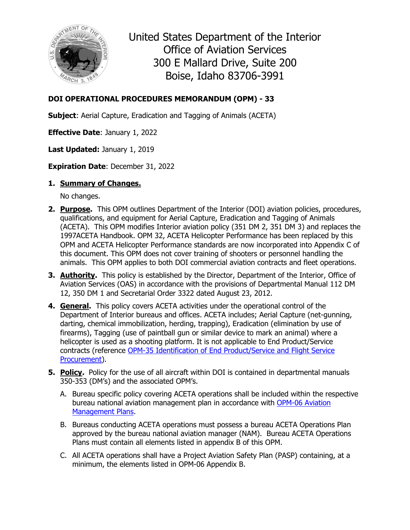

United States Department of the Interior Office of Aviation Services 300 E Mallard Drive, Suite 200 Boise, Idaho 83706-3991

### **DOI OPERATIONAL PROCEDURES MEMORANDUM (OPM) - 33**

**Subject**: Aerial Capture, Eradication and Tagging of Animals (ACETA)

**Effective Date**: January 1, 2022

**Last Updated:** January 1, 2019

**Expiration Date**: December 31, 2022

### **1. Summary of Changes.**

No changes.

- **2. Purpose.** This OPM outlines Department of the Interior (DOI) aviation policies, procedures, qualifications, and equipment for Aerial Capture, Eradication and Tagging of Animals (ACETA). This OPM modifies Interior aviation policy (351 DM 2, 351 DM 3) and replaces the 1997ACETA Handbook. OPM 32, ACETA Helicopter Performance has been replaced by this OPM and ACETA Helicopter Performance standards are now incorporated into Appendix C of this document. This OPM does not cover training of shooters or personnel handling the animals. This OPM applies to both DOI commercial aviation contracts and fleet operations.
- **3. Authority.** This policy is established by the Director, Department of the Interior, Office of Aviation Services (OAS) in accordance with the provisions of Departmental Manual 112 DM 12, 350 DM 1 and Secretarial Order 3322 dated August 23, 2012.
- **4. General.** This policy covers ACETA activities under the operational control of the Department of Interior bureaus and offices. ACETA includes; Aerial Capture (net-gunning, darting, chemical immobilization, herding, trapping), Eradication (elimination by use of firearms), Tagging (use of paintball gun or similar device to mark an animal) where a helicopter is used as a shooting platform. It is not applicable to End Product/Service contracts (reference OPM-35 [Identification of End Product/Service and Flight Service](https://www.doi.gov/sites/doi.gov/files/uploads/opm-35.pdf)  [Procurement\)](https://www.doi.gov/sites/doi.gov/files/uploads/opm-35.pdf).
- **5. Policy.** Policy for the use of all aircraft within DOI is contained in departmental manuals 350-353 (DM's) and the associated OPM's.
	- A. Bureau specific policy covering ACETA operations shall be included within the respective bureau national aviation management plan in accordance with [OPM-06](https://www.doi.gov/sites/doi.gov/files/uploads/opm-06.pdf) Aviation Management Plans.
	- B. Bureaus conducting ACETA operations must possess a bureau ACETA Operations Plan approved by the bureau national aviation manager (NAM). Bureau ACETA Operations Plans must contain all elements listed in appendix B of this OPM.
	- C. All ACETA operations shall have a Project Aviation Safety Plan (PASP) containing, at a minimum, the elements listed in OPM-06 Appendix B.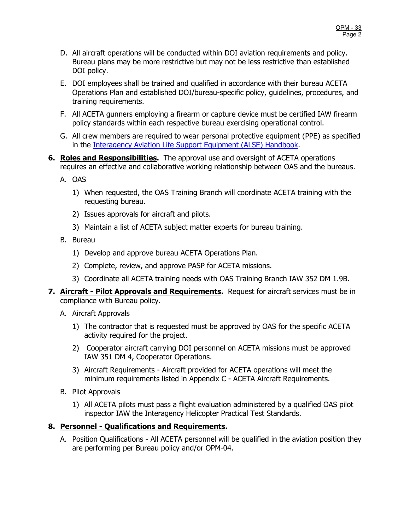- D. All aircraft operations will be conducted within DOI aviation requirements and policy. Bureau plans may be more restrictive but may not be less restrictive than established DOI policy.
- E. DOI employees shall be trained and qualified in accordance with their bureau ACETA Operations Plan and established DOI/bureau-specific policy, guidelines, procedures, and training requirements.
- F. All ACETA gunners employing a firearm or capture device must be certified IAW firearm policy standards within each respective bureau exercising operational control.
- G. All crew members are required to wear personal protective equipment (PPE) as specified in the [Interagency Aviation Life Support Equipment \(ALSE\) Handbook.](https://www.doi.gov/aviation/library/guides)
- **6. Roles and Responsibilities.** The approval use and oversight of ACETA operations requires an effective and collaborative working relationship between OAS and the bureaus.
	- A. OAS
		- 1) When requested, the OAS Training Branch will coordinate ACETA training with the requesting bureau.
		- 2) Issues approvals for aircraft and pilots.
		- 3) Maintain a list of ACETA subject matter experts for bureau training.
	- B. Bureau
		- 1) Develop and approve bureau ACETA Operations Plan.
		- 2) Complete, review, and approve PASP for ACETA missions.
		- 3) Coordinate all ACETA training needs with OAS Training Branch IAW 352 DM 1.9B.
- **7. Aircraft Pilot Approvals and Requirements.** Request for aircraft services must be in compliance with Bureau policy.
	- A. Aircraft Approvals
		- 1) The contractor that is requested must be approved by OAS for the specific ACETA activity required for the project.
		- 2) Cooperator aircraft carrying DOI personnel on ACETA missions must be approved IAW 351 DM 4, Cooperator Operations.
		- 3) Aircraft Requirements Aircraft provided for ACETA operations will meet the minimum requirements listed in Appendix C - ACETA Aircraft Requirements.
	- B. Pilot Approvals
		- 1) All ACETA pilots must pass a flight evaluation administered by a qualified OAS pilot inspector IAW the Interagency Helicopter Practical Test Standards.

### **8. Personnel - Qualifications and Requirements.**

A. Position Qualifications - All ACETA personnel will be qualified in the aviation position they are performing per Bureau policy and/or OPM-04.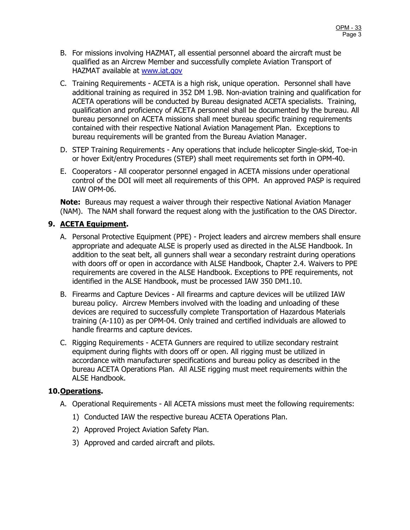- B. For missions involving HAZMAT, all essential personnel aboard the aircraft must be qualified as an Aircrew Member and successfully complete Aviation Transport of HAZMAT available at [www.iat.gov](http://www.iat.gov/)
- C. Training Requirements ACETA is a high risk, unique operation. Personnel shall have additional training as required in 352 DM 1.9B. Non-aviation training and qualification for ACETA operations will be conducted by Bureau designated ACETA specialists. Training, qualification and proficiency of ACETA personnel shall be documented by the bureau. All bureau personnel on ACETA missions shall meet bureau specific training requirements contained with their respective National Aviation Management Plan. Exceptions to bureau requirements will be granted from the Bureau Aviation Manager.
- D. STEP Training Requirements Any operations that include helicopter Single-skid, Toe-in or hover Exit/entry Procedures (STEP) shall meet requirements set forth in OPM-40.
- E. Cooperators All cooperator personnel engaged in ACETA missions under operational control of the DOI will meet all requirements of this OPM. An approved PASP is required IAW OPM-06.

**Note:** Bureaus may request a waiver through their respective National Aviation Manager (NAM). The NAM shall forward the request along with the justification to the OAS Director.

### **9. ACETA Equipment.**

- A. Personal Protective Equipment (PPE) Project leaders and aircrew members shall ensure appropriate and adequate ALSE is properly used as directed in the ALSE Handbook. In addition to the seat belt, all gunners shall wear a secondary restraint during operations with doors off or open in accordance with ALSE Handbook, Chapter 2.4. Waivers to PPE requirements are covered in the ALSE Handbook. Exceptions to PPE requirements, not identified in the ALSE Handbook, must be processed IAW 350 DM1.10.
- B. Firearms and Capture Devices All firearms and capture devices will be utilized IAW bureau policy. Aircrew Members involved with the loading and unloading of these devices are required to successfully complete Transportation of Hazardous Materials training (A-110) as per OPM-04. Only trained and certified individuals are allowed to handle firearms and capture devices.
- C. Rigging Requirements ACETA Gunners are required to utilize secondary restraint equipment during flights with doors off or open. All rigging must be utilized in accordance with manufacturer specifications and bureau policy as described in the bureau ACETA Operations Plan. All ALSE rigging must meet requirements within the ALSE Handbook.

### **10.Operations.**

- A. Operational Requirements All ACETA missions must meet the following requirements:
	- 1) Conducted IAW the respective bureau ACETA Operations Plan.
	- 2) Approved Project Aviation Safety Plan.
	- 3) Approved and carded aircraft and pilots.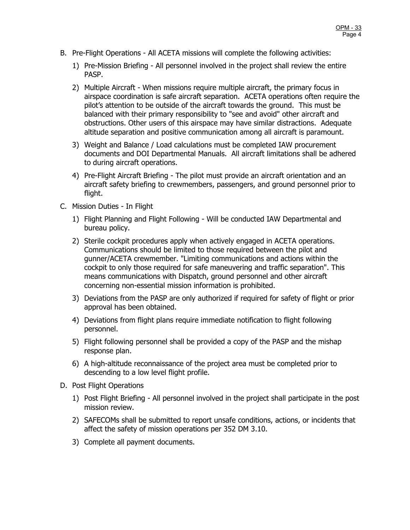- B. Pre-Flight Operations All ACETA missions will complete the following activities:
	- 1) Pre-Mission Briefing All personnel involved in the project shall review the entire PASP.
	- 2) Multiple Aircraft When missions require multiple aircraft, the primary focus in airspace coordination is safe aircraft separation. ACETA operations often require the pilot's attention to be outside of the aircraft towards the ground. This must be balanced with their primary responsibility to "see and avoid" other aircraft and obstructions. Other users of this airspace may have similar distractions. Adequate altitude separation and positive communication among all aircraft is paramount.
	- 3) Weight and Balance / Load calculations must be completed IAW procurement documents and DOI Departmental Manuals. All aircraft limitations shall be adhered to during aircraft operations.
	- 4) Pre-Flight Aircraft Briefing The pilot must provide an aircraft orientation and an aircraft safety briefing to crewmembers, passengers, and ground personnel prior to flight.
- C. Mission Duties In Flight
	- 1) Flight Planning and Flight Following Will be conducted IAW Departmental and bureau policy.
	- 2) Sterile cockpit procedures apply when actively engaged in ACETA operations. Communications should be limited to those required between the pilot and gunner/ACETA crewmember. "Limiting communications and actions within the cockpit to only those required for safe maneuvering and traffic separation". This means communications with Dispatch, ground personnel and other aircraft concerning non-essential mission information is prohibited.
	- 3) Deviations from the PASP are only authorized if required for safety of flight or prior approval has been obtained.
	- 4) Deviations from flight plans require immediate notification to flight following personnel.
	- 5) Flight following personnel shall be provided a copy of the PASP and the mishap response plan.
	- 6) A high-altitude reconnaissance of the project area must be completed prior to descending to a low level flight profile.
- D. Post Flight Operations
	- 1) Post Flight Briefing All personnel involved in the project shall participate in the post mission review.
	- 2) SAFECOMs shall be submitted to report unsafe conditions, actions, or incidents that affect the safety of mission operations per 352 DM 3.10.
	- 3) Complete all payment documents.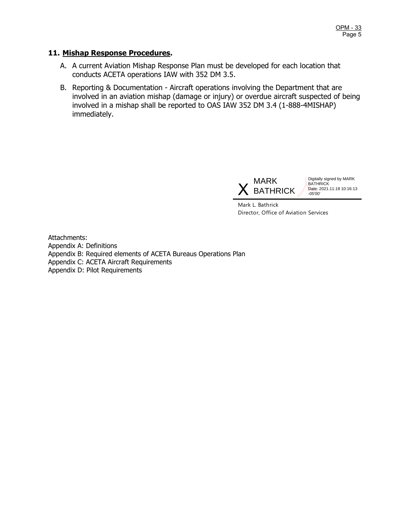#### **11. Mishap Response Procedures.**

- A. A current Aviation Mishap Response Plan must be developed for each location that conducts ACETA operations IAW with 352 DM 3.5.
- B. Reporting & Documentation Aircraft operations involving the Department that are involved in an aviation mishap (damage or injury) or overdue aircraft suspected of being involved in a mishap shall be reported to OAS IAW 352 DM 3.4 (1-888-4MISHAP) immediately.



Digitally signed by MARK **BATHRICK** Date: 2021.11.18 10:16:13 -05'00'

Mark L. Bathrick Director, Office of Aviation Services

Attachments: Appendix A: Definitions Appendix B: Required elements of ACETA Bureaus Operations Plan Appendix C: ACETA Aircraft Requirements Appendix D: Pilot Requirements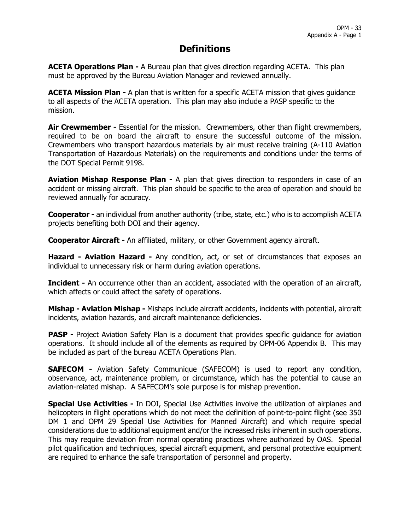# **Definitions**

**ACETA Operations Plan -** A Bureau plan that gives direction regarding ACETA. This plan must be approved by the Bureau Aviation Manager and reviewed annually.

ACETA Mission Plan - A plan that is written for a specific ACETA mission that gives quidance to all aspects of the ACETA operation. This plan may also include a PASP specific to the mission.

Air Crewmember - Essential for the mission. Crewmembers, other than flight crewmembers, required to be on board the aircraft to ensure the successful outcome of the mission. Crewmembers who transport hazardous materials by air must receive training (A-110 Aviation Transportation of Hazardous Materials) on the requirements and conditions under the terms of the DOT Special Permit 9198.

**Aviation Mishap Response Plan -** A plan that gives direction to responders in case of an accident or missing aircraft. This plan should be specific to the area of operation and should be reviewed annually for accuracy.

**Cooperator -** an individual from another authority (tribe, state, etc.) who is to accomplish ACETA projects benefiting both DOI and their agency.

**Cooperator Aircraft -** An affiliated, military, or other Government agency aircraft.

**Hazard - Aviation Hazard -** Any condition, act, or set of circumstances that exposes an individual to unnecessary risk or harm during aviation operations.

**Incident -** An occurrence other than an accident, associated with the operation of an aircraft, which affects or could affect the safety of operations.

**Mishap - Aviation Mishap -** Mishaps include aircraft accidents, incidents with potential, aircraft incidents, aviation hazards, and aircraft maintenance deficiencies.

**PASP** - Project Aviation Safety Plan is a document that provides specific guidance for aviation operations. It should include all of the elements as required by OPM-06 Appendix B. This may be included as part of the bureau ACETA Operations Plan.

**SAFECOM -** Aviation Safety Communique (SAFECOM) is used to report any condition, observance, act, maintenance problem, or circumstance, which has the potential to cause an aviation-related mishap. A SAFECOM's sole purpose is for mishap prevention.

**Special Use Activities -** In DOI, Special Use Activities involve the utilization of airplanes and helicopters in flight operations which do not meet the definition of point-to-point flight (see 350 DM 1 and OPM 29 Special Use Activities for Manned Aircraft) and which require special considerations due to additional equipment and/or the increased risks inherent in such operations. This may require deviation from normal operating practices where authorized by OAS. Special pilot qualification and techniques, special aircraft equipment, and personal protective equipment are required to enhance the safe transportation of personnel and property.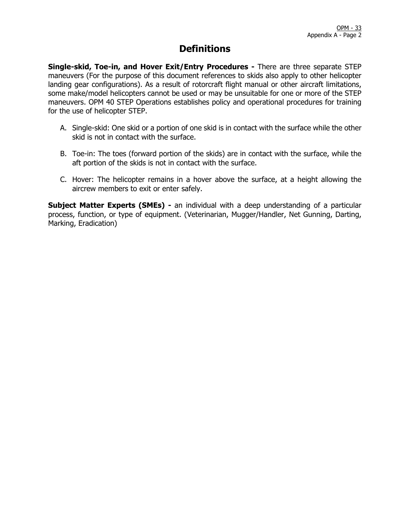# **Definitions**

**Single-skid, Toe-in, and Hover Exit/Entry Procedures -** There are three separate STEP maneuvers (For the purpose of this document references to skids also apply to other helicopter landing gear configurations). As a result of rotorcraft flight manual or other aircraft limitations, some make/model helicopters cannot be used or may be unsuitable for one or more of the STEP maneuvers. OPM 40 STEP Operations establishes policy and operational procedures for training for the use of helicopter STEP.

- A. Single-skid: One skid or a portion of one skid is in contact with the surface while the other skid is not in contact with the surface.
- B. Toe-in: The toes (forward portion of the skids) are in contact with the surface, while the aft portion of the skids is not in contact with the surface.
- C. Hover: The helicopter remains in a hover above the surface, at a height allowing the aircrew members to exit or enter safely.

**Subject Matter Experts (SMEs) -** an individual with a deep understanding of a particular process, function, or type of equipment. (Veterinarian, Mugger/Handler, Net Gunning, Darting, Marking, Eradication)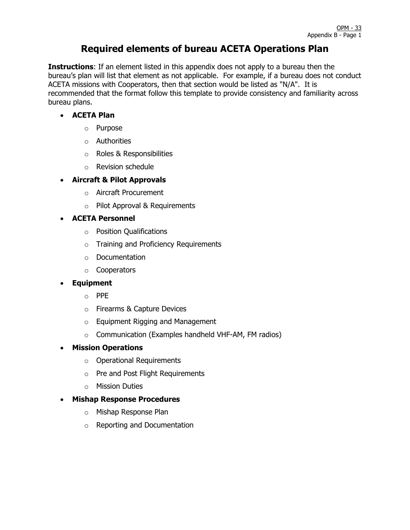# **Required elements of bureau ACETA Operations Plan**

**Instructions**: If an element listed in this appendix does not apply to a bureau then the bureau's plan will list that element as not applicable. For example, if a bureau does not conduct ACETA missions with Cooperators, then that section would be listed as "N/A". It is recommended that the format follow this template to provide consistency and familiarity across bureau plans.

### • **ACETA Plan**

- o Purpose
- o Authorities
- o Roles & Responsibilities
- o Revision schedule

### • **Aircraft & Pilot Approvals**

- o Aircraft Procurement
- o Pilot Approval & Requirements

### • **ACETA Personnel**

- o Position Qualifications
- o Training and Proficiency Requirements
- o Documentation
- o Cooperators

### • **Equipment**

- o PPE
- o Firearms & Capture Devices
- o Equipment Rigging and Management
- o Communication (Examples handheld VHF-AM, FM radios)

### • **Mission Operations**

- o Operational Requirements
- o Pre and Post Flight Requirements
- o Mission Duties

#### • **Mishap Response Procedures**

- o Mishap Response Plan
- o Reporting and Documentation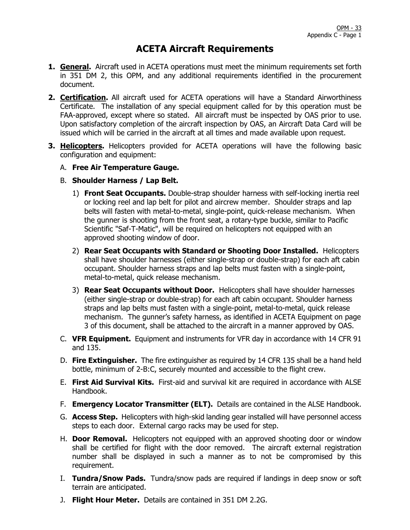## **ACETA Aircraft Requirements**

- **1. General.** Aircraft used in ACETA operations must meet the minimum requirements set forth in 351 DM 2, this OPM, and any additional requirements identified in the procurement document.
- **2. Certification.** All aircraft used for ACETA operations will have a Standard Airworthiness Certificate. The installation of any special equipment called for by this operation must be FAA-approved, except where so stated. All aircraft must be inspected by OAS prior to use. Upon satisfactory completion of the aircraft inspection by OAS, an Aircraft Data Card will be issued which will be carried in the aircraft at all times and made available upon request.
- **3. Helicopters.** Helicopters provided for ACETA operations will have the following basic configuration and equipment:
	- A. **Free Air Temperature Gauge.**
	- B. **Shoulder Harness / Lap Belt.**
		- 1) **Front Seat Occupants.** Double-strap shoulder harness with self-locking inertia reel or locking reel and lap belt for pilot and aircrew member. Shoulder straps and lap belts will fasten with metal-to-metal, single-point, quick-release mechanism. When the gunner is shooting from the front seat, a rotary-type buckle, similar to Pacific Scientific "Saf-T-Matic", will be required on helicopters not equipped with an approved shooting window of door.
		- 2) **Rear Seat Occupants with Standard or Shooting Door Installed.** Helicopters shall have shoulder harnesses (either single-strap or double-strap) for each aft cabin occupant. Shoulder harness straps and lap belts must fasten with a single-point, metal-to-metal, quick release mechanism.
		- 3) **Rear Seat Occupants without Door.** Helicopters shall have shoulder harnesses (either single-strap or double-strap) for each aft cabin occupant. Shoulder harness straps and lap belts must fasten with a single-point, metal-to-metal, quick release mechanism. The gunner's safety harness, as identified in ACETA Equipment on page 3 of this document, shall be attached to the aircraft in a manner approved by OAS.
	- C. **VFR Equipment.** Equipment and instruments for VFR day in accordance with 14 CFR 91 and 135.
	- D. **Fire Extinguisher.** The fire extinguisher as required by 14 CFR 135 shall be a hand held bottle, minimum of 2-B:C, securely mounted and accessible to the flight crew.
	- E. **First Aid Survival Kits.** First-aid and survival kit are required in accordance with ALSE Handbook.
	- F. **Emergency Locator Transmitter (ELT).** Details are contained in the ALSE Handbook.
	- G. **Access Step.** Helicopters with high-skid landing gear installed will have personnel access steps to each door. External cargo racks may be used for step.
	- H. **Door Removal.** Helicopters not equipped with an approved shooting door or window shall be certified for flight with the door removed. The aircraft external registration number shall be displayed in such a manner as to not be compromised by this requirement.
	- I. **Tundra/Snow Pads.** Tundra/snow pads are required if landings in deep snow or soft terrain are anticipated.
	- J. **Flight Hour Meter.** Details are contained in 351 DM 2.2G.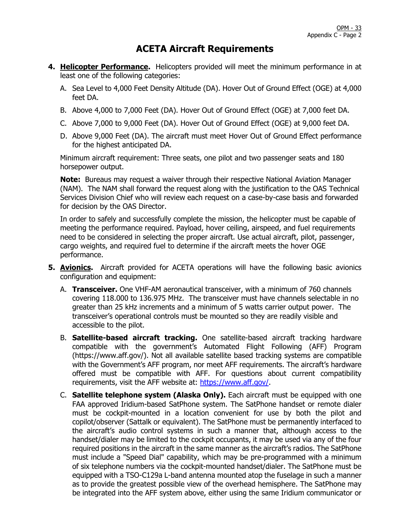## **ACETA Aircraft Requirements**

- **4. Helicopter Performance.** Helicopters provided will meet the minimum performance in at least one of the following categories:
	- A. Sea Level to 4,000 Feet Density Altitude (DA). Hover Out of Ground Effect (OGE) at 4,000 feet DA.
	- B. Above 4,000 to 7,000 Feet (DA). Hover Out of Ground Effect (OGE) at 7,000 feet DA.
	- C. Above 7,000 to 9,000 Feet (DA). Hover Out of Ground Effect (OGE) at 9,000 feet DA.
	- D. Above 9,000 Feet (DA). The aircraft must meet Hover Out of Ground Effect performance for the highest anticipated DA.

Minimum aircraft requirement: Three seats, one pilot and two passenger seats and 180 horsepower output.

**Note:** Bureaus may request a waiver through their respective National Aviation Manager (NAM). The NAM shall forward the request along with the justification to the OAS Technical Services Division Chief who will review each request on a case-by-case basis and forwarded for decision by the OAS Director.

In order to safely and successfully complete the mission, the helicopter must be capable of meeting the performance required. Payload, hover ceiling, airspeed, and fuel requirements need to be considered in selecting the proper aircraft. Use actual aircraft, pilot, passenger, cargo weights, and required fuel to determine if the aircraft meets the hover OGE performance.

- **5. Avionics.** Aircraft provided for ACETA operations will have the following basic avionics configuration and equipment:
	- A. **Transceiver.** One VHF-AM aeronautical transceiver, with a minimum of 760 channels covering 118.000 to 136.975 MHz. The transceiver must have channels selectable in no greater than 25 kHz increments and a minimum of 5 watts carrier output power. The transceiver's operational controls must be mounted so they are readily visible and accessible to the pilot.
	- B. **Satellite-based aircraft tracking.** One satellite-based aircraft tracking hardware compatible with the government's Automated Flight Following (AFF) Program (https://www.aff.gov/). Not all available satellite based tracking systems are compatible with the Government's AFF program, nor meet AFF requirements. The aircraft's hardware offered must be compatible with AFF. For questions about current compatibility requirements, visit the AFF website at: [https://www.aff.gov/.](https://www.aff.gov/)
	- C. **Satellite telephone system (Alaska Only).** Each aircraft must be equipped with one FAA approved Iridium-based SatPhone system. The SatPhone handset or remote dialer must be cockpit-mounted in a location convenient for use by both the pilot and copilot/observer (Sattalk or equivalent). The SatPhone must be permanently interfaced to the aircraft's audio control systems in such a manner that, although access to the handset/dialer may be limited to the cockpit occupants, it may be used via any of the four required positions in the aircraft in the same manner as the aircraft's radios. The SatPhone must include a "Speed Dial" capability, which may be pre-programmed with a minimum of six telephone numbers via the cockpit-mounted handset/dialer. The SatPhone must be equipped with a TSO-C129a L-band antenna mounted atop the fuselage in such a manner as to provide the greatest possible view of the overhead hemisphere. The SatPhone may be integrated into the AFF system above, either using the same Iridium communicator or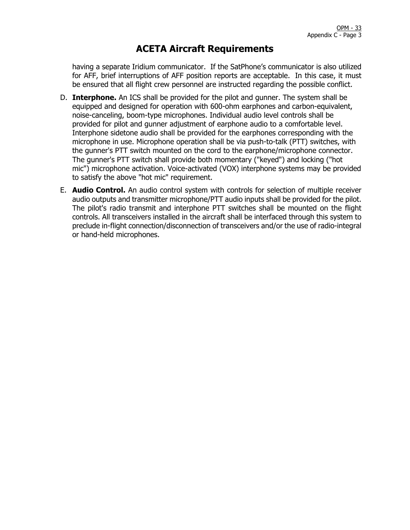## **ACETA Aircraft Requirements**

having a separate Iridium communicator. If the SatPhone's communicator is also utilized for AFF, brief interruptions of AFF position reports are acceptable. In this case, it must be ensured that all flight crew personnel are instructed regarding the possible conflict.

- D. **Interphone.** An ICS shall be provided for the pilot and gunner. The system shall be equipped and designed for operation with 600-ohm earphones and carbon-equivalent, noise-canceling, boom-type microphones. Individual audio level controls shall be provided for pilot and gunner adjustment of earphone audio to a comfortable level. Interphone sidetone audio shall be provided for the earphones corresponding with the microphone in use. Microphone operation shall be via push-to-talk (PTT) switches, with the gunner's PTT switch mounted on the cord to the earphone/microphone connector. The gunner's PTT switch shall provide both momentary ("keyed") and locking ("hot mic") microphone activation. Voice-activated (VOX) interphone systems may be provided to satisfy the above "hot mic" requirement.
- E. **Audio Control.** An audio control system with controls for selection of multiple receiver audio outputs and transmitter microphone/PTT audio inputs shall be provided for the pilot. The pilot's radio transmit and interphone PTT switches shall be mounted on the flight controls. All transceivers installed in the aircraft shall be interfaced through this system to preclude in-flight connection/disconnection of transceivers and/or the use of radio-integral or hand-held microphones.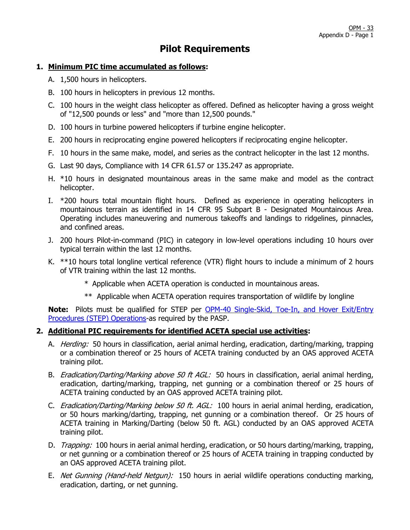# **Pilot Requirements**

#### **1. Minimum PIC time accumulated as follows:**

- A. 1,500 hours in helicopters.
- B. 100 hours in helicopters in previous 12 months.
- C. 100 hours in the weight class helicopter as offered. Defined as helicopter having a gross weight of "12,500 pounds or less" and "more than 12,500 pounds."
- D. 100 hours in turbine powered helicopters if turbine engine helicopter.
- E. 200 hours in reciprocating engine powered helicopters if reciprocating engine helicopter.
- F. 10 hours in the same make, model, and series as the contract helicopter in the last 12 months.
- G. Last 90 days, Compliance with 14 CFR 61.57 or 135.247 as appropriate.
- H. \*10 hours in designated mountainous areas in the same make and model as the contract helicopter.
- I. \*200 hours total mountain flight hours. Defined as experience in operating helicopters in mountainous terrain as identified in 14 CFR 95 Subpart B - Designated Mountainous Area. Operating includes maneuvering and numerous takeoffs and landings to ridgelines, pinnacles, and confined areas.
- J. 200 hours Pilot-in-command (PIC) in category in low-level operations including 10 hours over typical terrain within the last 12 months.
- K. \*\*10 hours total longline vertical reference (VTR) flight hours to include a minimum of 2 hours of VTR training within the last 12 months.
	- \* Applicable when ACETA operation is conducted in mountainous areas.
	- \*\* Applicable when ACETA operation requires transportation of wildlife by longline

**Note:** Pilots must be qualified for STEP per [OPM-40 Single-Skid, Toe-In, and Hover Exit/Entry](https://www.doi.gov/sites/doi.gov/files/uploads/opm-40.pdf)  [Procedures \(STEP\) Operations-](https://www.doi.gov/sites/doi.gov/files/uploads/opm-40.pdf)as required by the PASP.

#### **2. Additional PIC requirements for identified ACETA special use activities:**

- A. *Herding:* 50 hours in classification, aerial animal herding, eradication, darting/marking, trapping or a combination thereof or 25 hours of ACETA training conducted by an OAS approved ACETA training pilot.
- B. *Eradication/Darting/Marking above 50 ft AGL:* 50 hours in classification, aerial animal herding, eradication, darting/marking, trapping, net gunning or a combination thereof or 25 hours of ACETA training conducted by an OAS approved ACETA training pilot.
- C. *Eradication/Darting/Marking below 50 ft. AGL:* 100 hours in aerial animal herding, eradication, or 50 hours marking/darting, trapping, net gunning or a combination thereof. Or 25 hours of ACETA training in Marking/Darting (below 50 ft. AGL) conducted by an OAS approved ACETA training pilot.
- D. *Trapping:* 100 hours in aerial animal herding, eradication, or 50 hours darting/marking, trapping, or net gunning or a combination thereof or 25 hours of ACETA training in trapping conducted by an OAS approved ACETA training pilot.
- E. *Net Gunning (Hand-held Netgun):* 150 hours in aerial wildlife operations conducting marking, eradication, darting, or net gunning.